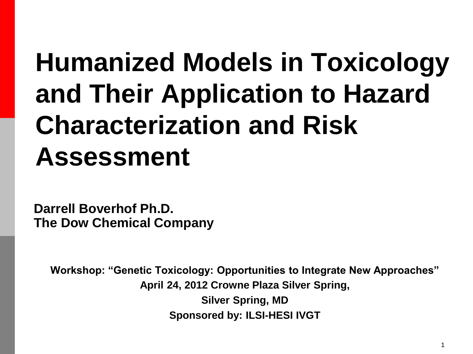### **Humanized Models in Toxicology and Their Application to Hazard Characterization and Risk Assessment**

**Darrell Boverhof Ph.D. The Dow Chemical Company**

**Workshop: "Genetic Toxicology: Opportunities to Integrate New Approaches" April 24, 2012 Crowne Plaza Silver Spring, Silver Spring, MD Sponsored by: ILSI-HESI IVGT**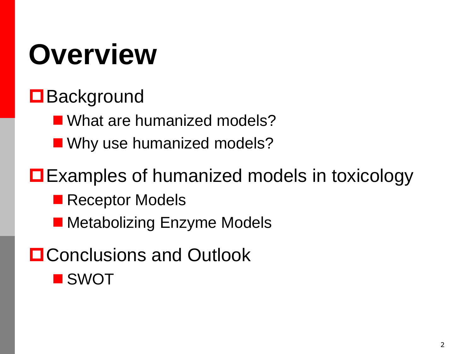# **Overview**

#### **□** Background

■ What are humanized models?

■ Why use humanized models?

#### **□** Examples of humanized models in toxicology

- **Receptor Models**
- Metabolizing Enzyme Models
- **O** Conclusions and Outlook **SWOT**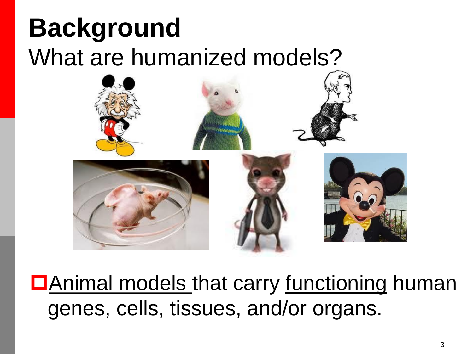#### **Background** What are humanized models?



**D**Animal models that carry <u>functioning</u> human genes, cells, tissues, and/or organs.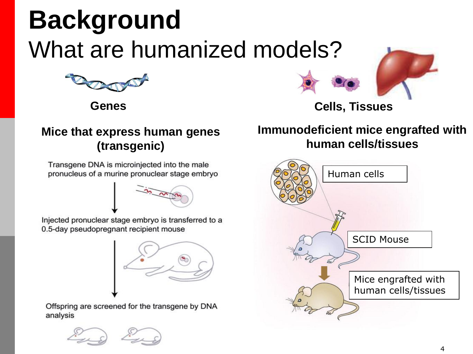#### **Background** What are humanized models?



#### **Mice that express human genes (transgenic)**

Transgene DNA is microinjected into the male pronucleus of a murine pronuclear stage embryo

Injected pronuclear stage embryo is transferred to a 0.5-day pseudopregnant recipient mouse



Offspring are screened for the transgene by DNA analysis





**Genes Cells, Tissues**

#### **Immunodeficient mice engrafted with human cells/tissues**

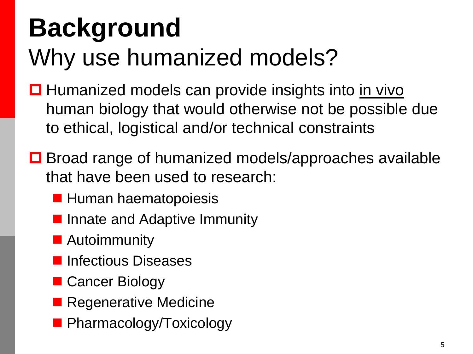#### **Background** Why use humanized models?

- $\Box$  Humanized models can provide insights into in vivo human biology that would otherwise not be possible due to ethical, logistical and/or technical constraints
- **□** Broad range of humanized models/approaches available that have been used to research:
	- **Human haematopoiesis**
	- **If** Innate and Adaptive Immunity
	- **Autoimmunity**
	- **Infectious Diseases**
	- Cancer Biology
	- **Regenerative Medicine**
	- **Pharmacology/Toxicology**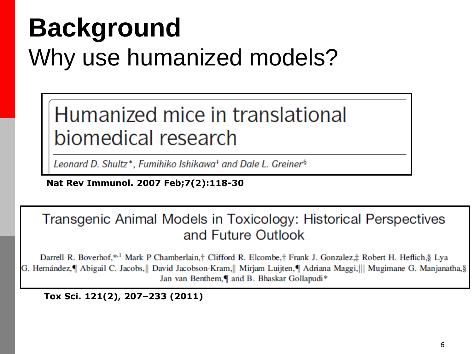#### **Background** Why use humanized models?

Humanized mice in translational biomedical research

Leonard D. Shultz\*, Fumihiko Ishikawa<sup>+</sup> and Dale L. Greiner<sup>§</sup>

**Nat Rev Immunol. 2007 Feb;7(2):118-30**

Transgenic Animal Models in Toxicology: Historical Perspectives and Future Outlook

Darrell R. Boverhof,\*<sup>1</sup> Mark P Chamberlain,† Clifford R. Elcombe,† Frank J. Gonzalez,‡ Robert H. Heflich,§ Lya G. Hernández,¶ Abigail C. Jacobs,|| David Jacobson-Kram,|| Mirjam Luijten,¶ Adriana Maggi,||| Mugimane G. Manjanatha,§ Jan van Benthem,¶ and B. Bhaskar Gollapudi\*

**Tox Sci. 121(2), 207–233 (2011)**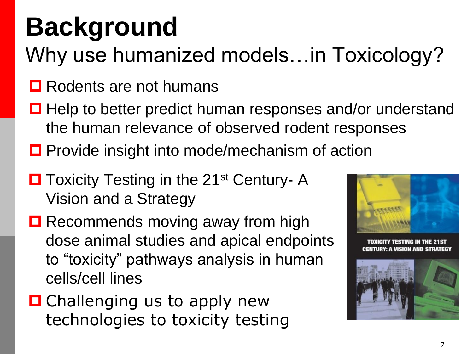## **Background**

Why use humanized models…in Toxicology?

- **□** Rodents are not humans
- $\Box$  Help to better predict human responses and/or understand the human relevance of observed rodent responses
- **□** Provide insight into mode/mechanism of action
- **□** Toxicity Testing in the 21<sup>st</sup> Century- A Vision and a Strategy
- **□** Recommends moving away from high dose animal studies and apical endpoints to "toxicity" pathways analysis in human cells/cell lines
- **□** Challenging us to apply new technologies to toxicity testing

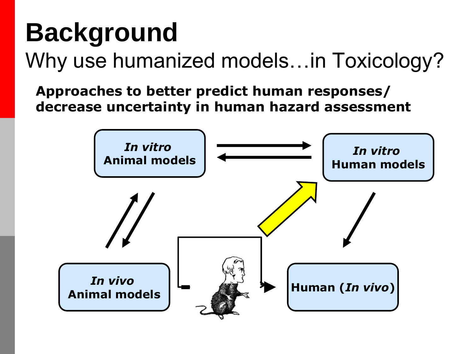#### **Background** Why use humanized models…in Toxicology?

**Approaches to better predict human responses/ decrease uncertainty in human hazard assessment**

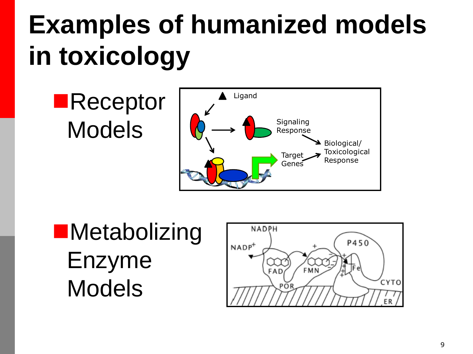**Receptor** Models



**Metabolizing** Enzyme Models

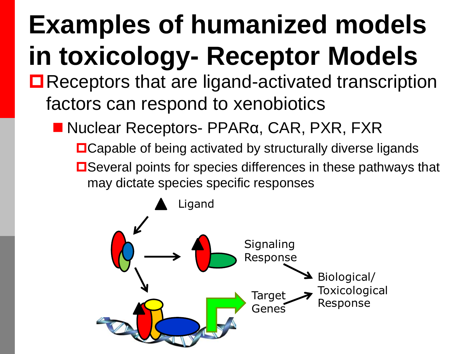## **Examples of humanized models in toxicology- Receptor Models**

- ■Receptors that are ligand-activated transcription factors can respond to xenobiotics
	- Nuclear Receptors- PPARα, CAR, PXR, FXR
		- ■Capable of being activated by structurally diverse ligands
		- **□Several points for species differences in these pathways that** may dictate species specific responses

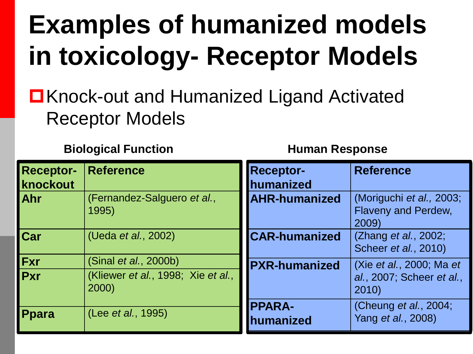### **Examples of humanized models in toxicology- Receptor Models**

■Knock-out and Humanized Ligand Activated Receptor Models

**Biological Function Human Response**

| <b>Receptor-</b><br>knockout | <b>Reference</b>                                            | <b>Receptor-</b><br>humanized | <b>Reference</b>                                                |
|------------------------------|-------------------------------------------------------------|-------------------------------|-----------------------------------------------------------------|
| Ahr                          | (Fernandez-Salguero et al.,<br>1995)                        | <b>AHR-humanized</b>          | (Moriguchi et al., 2003;<br><b>Flaveny and Perdew,</b><br>2009) |
| Car                          | (Ueda et al., 2002)                                         | <b>CAR-humanized</b>          | (Zhang et al., 2002;<br>Scheer et al., 2010)                    |
| <b>Fxr</b><br><b>Pxr</b>     | (Sinal et al., 2000b)<br>(Kliewer et al., 1998; Xie et al., | <b>PXR-humanized</b>          | (Xie et al., 2000; Ma et<br>al., 2007; Scheer et al.,           |
|                              | 2000)                                                       | <b>PPARA-</b>                 | 2010)<br>(Cheung et al., 2004;                                  |
| <b>Ppara</b>                 | (Lee et al., 1995)                                          | <b>Inumanized</b>             | Yang et al., 2008)                                              |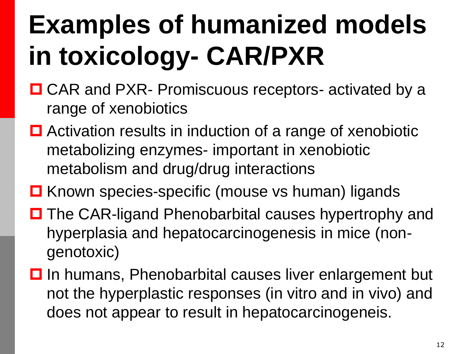- CAR and PXR- Promiscuous receptors- activated by a range of xenobiotics
- Activation results in induction of a range of xenobiotic metabolizing enzymes- important in xenobiotic metabolism and drug/drug interactions
- **□ Known species-specific (mouse vs human) ligands**
- **□** The CAR-ligand Phenobarbital causes hypertrophy and hyperplasia and hepatocarcinogenesis in mice (nongenotoxic)
- $\Box$  In humans, Phenobarbital causes liver enlargement but not the hyperplastic responses (in vitro and in vivo) and does not appear to result in hepatocarcinogeneis.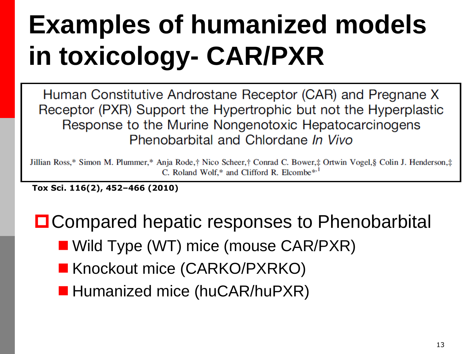Human Constitutive Androstane Receptor (CAR) and Pregnane X Receptor (PXR) Support the Hypertrophic but not the Hyperplastic Response to the Murine Nongenotoxic Hepatocarcinogens Phenobarbital and Chlordane In Vivo

Jillian Ross,\* Simon M. Plummer,\* Anja Rode,† Nico Scheer,† Conrad C. Bower,‡ Ortwin Vogel,§ Colin J. Henderson,‡ C. Roland Wolf.\* and Clifford R. Elcombe\*.<sup>1</sup>

**Tox Sci. 116(2), 452–466 (2010)**

**□ Compared hepatic responses to Phenobarbital** 

- Wild Type (WT) mice (mouse CAR/PXR)
- Knockout mice (CARKO/PXRKO)
- **Humanized mice (huCAR/huPXR)**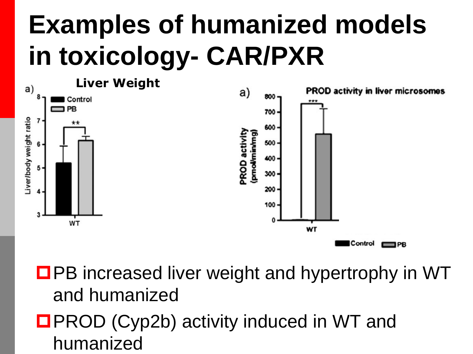

■PB increased liver weight and hypertrophy in WT and humanized

■PROD (Cyp2b) activity induced in WT and humanized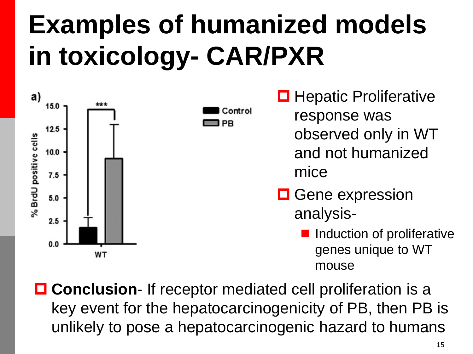Control

PR



**□** Hepatic Proliferative response was observed only in WT and not humanized mice

**O** Gene expression analysis-

> Induction of proliferative genes unique to WT mouse

■ **Conclusion**- If receptor mediated cell proliferation is a key event for the hepatocarcinogenicity of PB, then PB is unlikely to pose a hepatocarcinogenic hazard to humans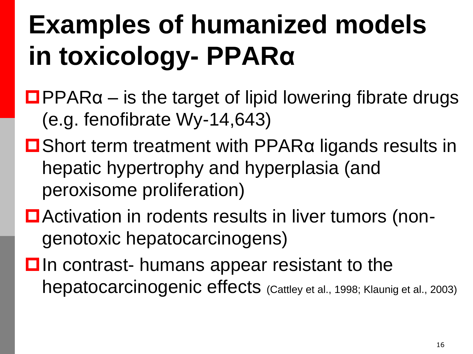- $\Box$ PPAR $\alpha$  is the target of lipid lowering fibrate drugs (e.g. fenofibrate Wy-14,643)
- Short term treatment with PPARα ligands results in hepatic hypertrophy and hyperplasia (and peroxisome proliferation)
- Activation in rodents results in liver tumors (nongenotoxic hepatocarcinogens)
- $\Box$  In contrast- humans appear resistant to the hepatocarcinogenic effects (Cattley et al., 1998; Klaunig et al., 2003)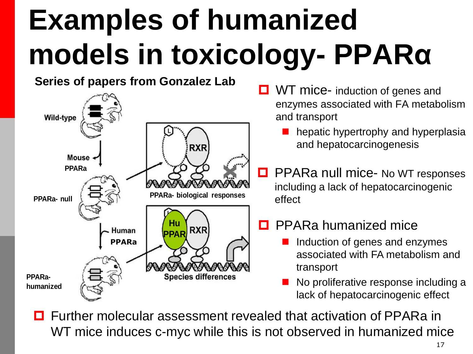**Series of papers from Gonzalez Lab**



- **D** WT mice- induction of genes and enzymes associated with FA metabolism and transport
	- hepatic hypertrophy and hyperplasia and hepatocarcinogenesis
- **D** PPARa null mice- No WT responses including a lack of hepatocarcinogenic effect

#### **D** PPARa humanized mice

- Induction of genes and enzymes associated with FA metabolism and transport
- No proliferative response including a lack of hepatocarcinogenic effect

 Further molecular assessment revealed that activation of PPARa in WT mice induces c-myc while this is not observed in humanized mice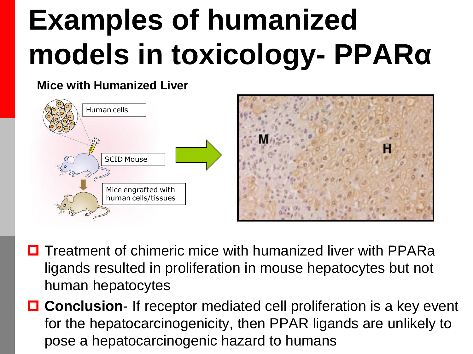#### **Mice with Humanized Liver**



- $\Box$  Treatment of chimeric mice with humanized liver with PPARa ligands resulted in proliferation in mouse hepatocytes but not human hepatocytes
- **Conclusion** If receptor mediated cell proliferation is a key event for the hepatocarcinogenicity, then PPAR ligands are unlikely to pose a hepatocarcinogenic hazard to humans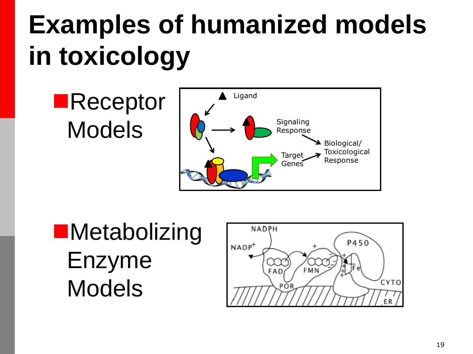**Receptor** Models



**Metabolizing** Enzyme Models

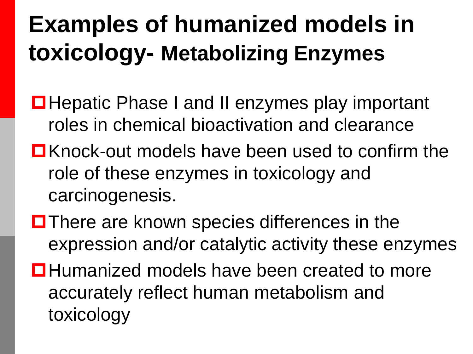#### **Examples of humanized models in toxicology- Metabolizing Enzymes**

- **□ Hepatic Phase I and II enzymes play important** roles in chemical bioactivation and clearance
- $\Box$  Knock-out models have been used to confirm the role of these enzymes in toxicology and carcinogenesis.
- $\blacksquare$  There are known species differences in the expression and/or catalytic activity these enzymes
- **□**Humanized models have been created to more accurately reflect human metabolism and toxicology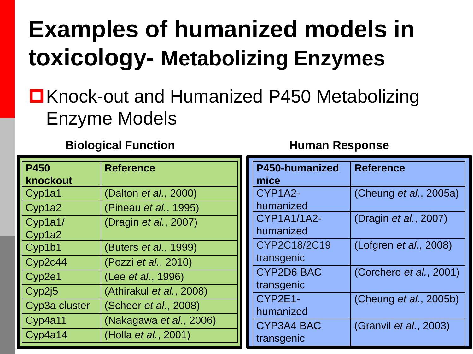#### **Examples of humanized models in toxicology- Metabolizing Enzymes**

#### ■Knock-out and Humanized P450 Metabolizing Enzyme Models

**Biological Function Human Response**

| <b>P450</b>   | <b>Reference</b>         | P450-humanized       | <b>Reference</b>               |
|---------------|--------------------------|----------------------|--------------------------------|
| knockout      |                          | mice                 |                                |
| Cyp1a1        | (Dalton et al., 2000)    | CYP1A2-              | (Cheung et al., 2005a)         |
| Cyp1a2        | (Pineau et al., 1995)    | humanized            |                                |
| Cyp1a1/       | (Dragin et al., 2007)    | <b>CYP1A1/1A2-</b>   | (Dragin <i>et al.</i> , 2007)  |
| Cyp1a2        |                          | humanized            |                                |
| Cyp1b1        | (Buters et al., 1999)    | CYP2C18/2C19         | (Lofgren <i>et al.</i> , 2008) |
| Cyp2c44       | (Pozzi et al., 2010)     | transgenic           |                                |
| Cyp2e1        | (Lee et al., 1996)       | <b>CYP2D6 BAC</b>    | (Corchero et al., 2001)        |
| Cyp2j5        | (Athirakul et al., 2008) | transgenic           |                                |
| Cyp3a cluster | (Scheer et al., 2008)    | CYP2E1-<br>humanized | (Cheung et al., 2005b)         |
| Cyp4a11       | (Nakagawa et al., 2006)  | CYP3A4 BAC           | (Granvil et al., 2003)         |
| Cyp4a14       | (Holla et al., 2001)     | transgenic           |                                |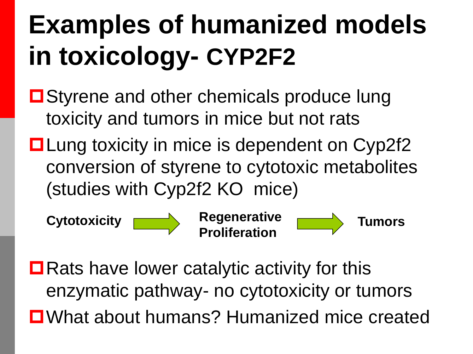- Styrene and other chemicals produce lung toxicity and tumors in mice but not rats
- **□ Lung toxicity in mice is dependent on Cyp2f2** conversion of styrene to cytotoxic metabolites (studies with Cyp2f2 KO mice)



**Cytotoxicity Regenerative Proliferation**

**Tumors**

 $\blacksquare$  Rats have lower catalytic activity for this enzymatic pathway- no cytotoxicity or tumors ■What about humans? Humanized mice created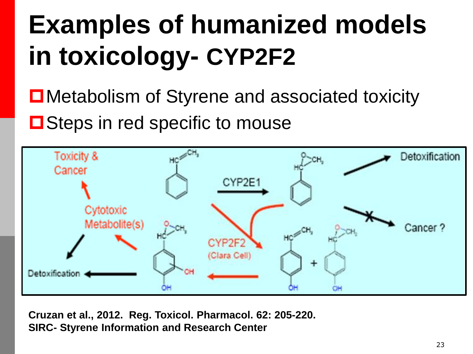■Metabolism of Styrene and associated toxicity

**□** Steps in red specific to mouse



**Cruzan et al., 2012. Reg. Toxicol. Pharmacol. 62: 205-220. SIRC- Styrene Information and Research Center**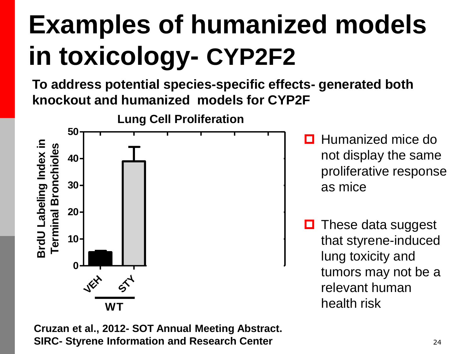**To address potential species-specific effects- generated both knockout and humanized models for CYP2F**



 $\Box$  Humanized mice do not display the same proliferative response as mice

 $\Box$  These data suggest that styrene-induced lung toxicity and tumors may not be a relevant human health risk

**Cruzan et al., 2012- SOT Annual Meeting Abstract. SIRC- Styrene Information and Research Center**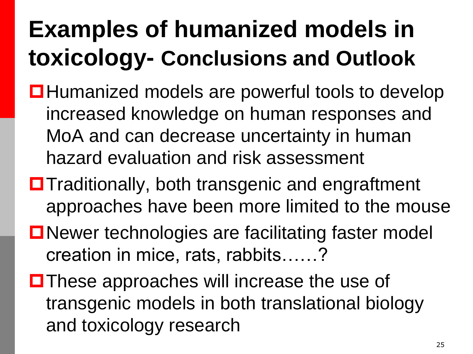#### **Examples of humanized models in toxicology- Conclusions and Outlook**

- Humanized models are powerful tools to develop increased knowledge on human responses and MoA and can decrease uncertainty in human hazard evaluation and risk assessment
- $\blacksquare$  Traditionally, both transgenic and engraftment approaches have been more limited to the mouse
- ■Newer technologies are facilitating faster model creation in mice, rats, rabbits……?
- $\blacksquare$  These approaches will increase the use of transgenic models in both translational biology and toxicology research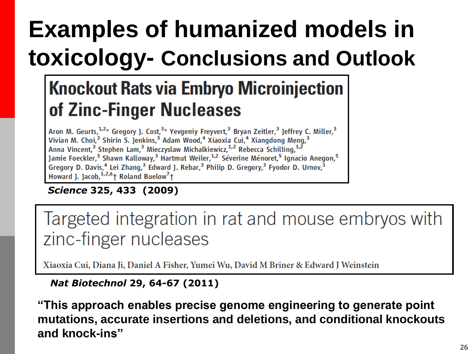#### **Examples of humanized models in toxicology- Conclusions and Outlook**

#### **Knockout Rats via Embryo Microinjection** of Zinc-Finger Nucleases

Aron M. Geurts,  $1,2*$  Gregory J. Cost,  $3*$  Yevgeniy Freyvert,  $3$  Bryan Zeitler,  $3$  Jeffrey C. Miller,  $3$  Vivian M. Choi,  $3$  Shirin S. Jenkins,  $3$  Adam Wood,  $4$  Xiaoxia Cui,  $4$  Xiangdong Meng,  $3$ Anna Vincent,<sup>3</sup> Stephen Lam,<sup>3</sup> Mieczyslaw Michalkiewicz,<sup>1,2</sup> Rebecca Schilling,<sup>1,2</sup> Jamie Foeckler,<sup>3</sup> Shawn Kalloway,<sup>3</sup> Hartmut Weiler,<sup>1,2</sup> Séverine Ménoret,<sup>5</sup> Ignacio Anegon,<sup>5</sup> Gregory D. Davis,<sup>4</sup> Lei Zhang,<sup>3</sup> Edward J. Rebar,<sup>3</sup> Philip D. Gregory,<sup>3</sup> Fyodor D. Urnov,<sup>3</sup> Howard J. Jacob,  $1,2,6$  Roland Buelow<sup>7</sup> +

#### *Science* **325, 433 (2009)**

Targeted integration in rat and mouse embryos with zinc-finger nucleases

Xiaoxia Cui, Diana Ji, Daniel A Fisher, Yumei Wu, David M Briner & Edward J Weinstein

#### *Nat Biotechnol* **29, 64-67 (2011)**

**"This approach enables precise genome engineering to generate point mutations, accurate insertions and deletions, and conditional knockouts and knock-ins"**